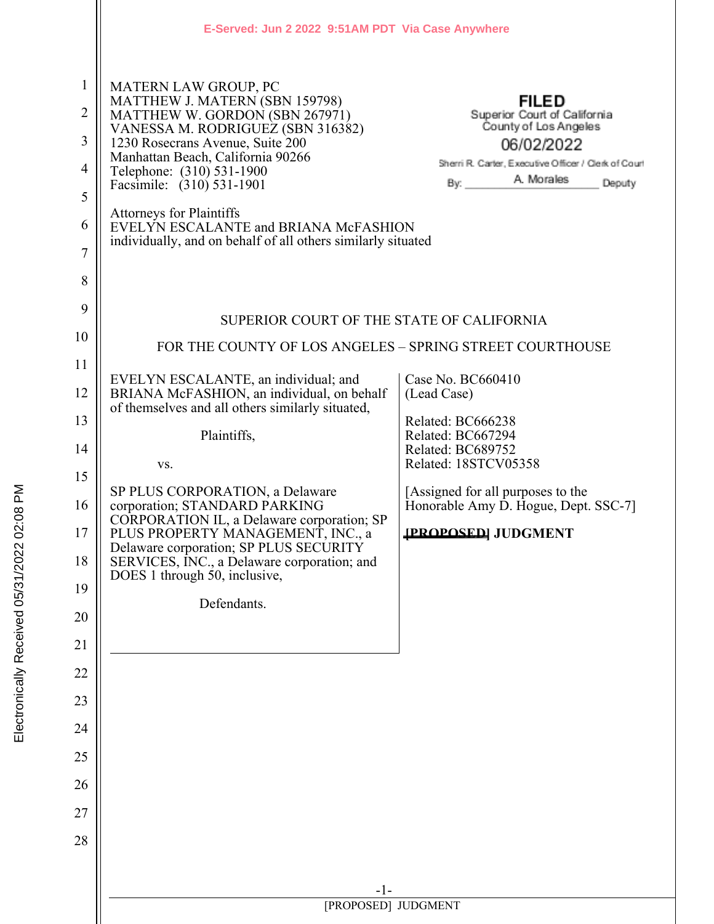|                                                                             | E-Served: Jun 2 2022 9:51 AM PDT Via Case Anywhere                                                                                                                                                                                                                                                                                                                                                                  |                                                                                                                                                                            |
|-----------------------------------------------------------------------------|---------------------------------------------------------------------------------------------------------------------------------------------------------------------------------------------------------------------------------------------------------------------------------------------------------------------------------------------------------------------------------------------------------------------|----------------------------------------------------------------------------------------------------------------------------------------------------------------------------|
| 1<br>$\overline{2}$<br>3<br>$\overline{4}$<br>5<br>6<br>$\overline{7}$<br>8 | <b>MATERN LAW GROUP, PC</b><br>MATTHEW J. MATERN (SBN 159798)<br>MATTHEW W. GORDON (SBN 267971)<br>VANESSA M. RODRIGUEZ (SBN 316382)<br>1230 Rosecrans Avenue, Suite 200<br>Manhattan Beach, California 90266<br>Telephone: (310) 531-1900<br>Facsimile: (310) 531-1901<br><b>Attorneys for Plaintiffs</b><br>EVELYN ESCALANTE and BRIANA McFASHION<br>individually, and on behalf of all others similarly situated | <b>FILED</b><br>Superior Court of California<br>County of Los Angeles<br>06/02/2022<br>Sherri R. Carter, Executive Officer / Clerk of Court<br>A. Morales<br>By:<br>Deputy |
| 9                                                                           |                                                                                                                                                                                                                                                                                                                                                                                                                     |                                                                                                                                                                            |
| 10                                                                          | SUPERIOR COURT OF THE STATE OF CALIFORNIA                                                                                                                                                                                                                                                                                                                                                                           |                                                                                                                                                                            |
| 11                                                                          | FOR THE COUNTY OF LOS ANGELES - SPRING STREET COURTHOUSE                                                                                                                                                                                                                                                                                                                                                            |                                                                                                                                                                            |
| 12                                                                          | EVELYN ESCALANTE, an individual; and<br>BRIANA McFASHION, an individual, on behalf                                                                                                                                                                                                                                                                                                                                  | Case No. BC660410<br>(Lead Case)                                                                                                                                           |
| 13                                                                          | of themselves and all others similarly situated,<br>Plaintiffs,                                                                                                                                                                                                                                                                                                                                                     | Related: BC666238<br>Related: BC667294                                                                                                                                     |
| 14                                                                          | VS.                                                                                                                                                                                                                                                                                                                                                                                                                 | Related: BC689752<br>Related: 18STCV05358                                                                                                                                  |
| 15                                                                          | SP PLUS CORPORATION, a Delaware                                                                                                                                                                                                                                                                                                                                                                                     | [Assigned for all purposes to the                                                                                                                                          |
| 16                                                                          | corporation; STANDARD PARKING<br>CORPORATION IL, a Delaware corporation; SP                                                                                                                                                                                                                                                                                                                                         | Honorable Amy D. Hogue, Dept. SSC-7]                                                                                                                                       |
| 17<br>18                                                                    | PLUS PROPERTY MANAGEMENT, INC., a<br>Delaware corporation; SP PLUS SECURITY<br>SERVICES, INC., a Delaware corporation; and                                                                                                                                                                                                                                                                                          | <b>IPROPOSED JUDGMENT</b>                                                                                                                                                  |
| 19                                                                          | DOES 1 through 50, inclusive,<br>Defendants.                                                                                                                                                                                                                                                                                                                                                                        |                                                                                                                                                                            |
| 20                                                                          |                                                                                                                                                                                                                                                                                                                                                                                                                     |                                                                                                                                                                            |
| 21                                                                          |                                                                                                                                                                                                                                                                                                                                                                                                                     |                                                                                                                                                                            |
| 22                                                                          |                                                                                                                                                                                                                                                                                                                                                                                                                     |                                                                                                                                                                            |
| 23                                                                          |                                                                                                                                                                                                                                                                                                                                                                                                                     |                                                                                                                                                                            |
| 24                                                                          |                                                                                                                                                                                                                                                                                                                                                                                                                     |                                                                                                                                                                            |
| 25                                                                          |                                                                                                                                                                                                                                                                                                                                                                                                                     |                                                                                                                                                                            |
| 26<br>27                                                                    |                                                                                                                                                                                                                                                                                                                                                                                                                     |                                                                                                                                                                            |
| 28                                                                          |                                                                                                                                                                                                                                                                                                                                                                                                                     |                                                                                                                                                                            |
|                                                                             |                                                                                                                                                                                                                                                                                                                                                                                                                     |                                                                                                                                                                            |
|                                                                             | $-1-$                                                                                                                                                                                                                                                                                                                                                                                                               |                                                                                                                                                                            |
|                                                                             | [PROPOSED] JUDGMENT                                                                                                                                                                                                                                                                                                                                                                                                 |                                                                                                                                                                            |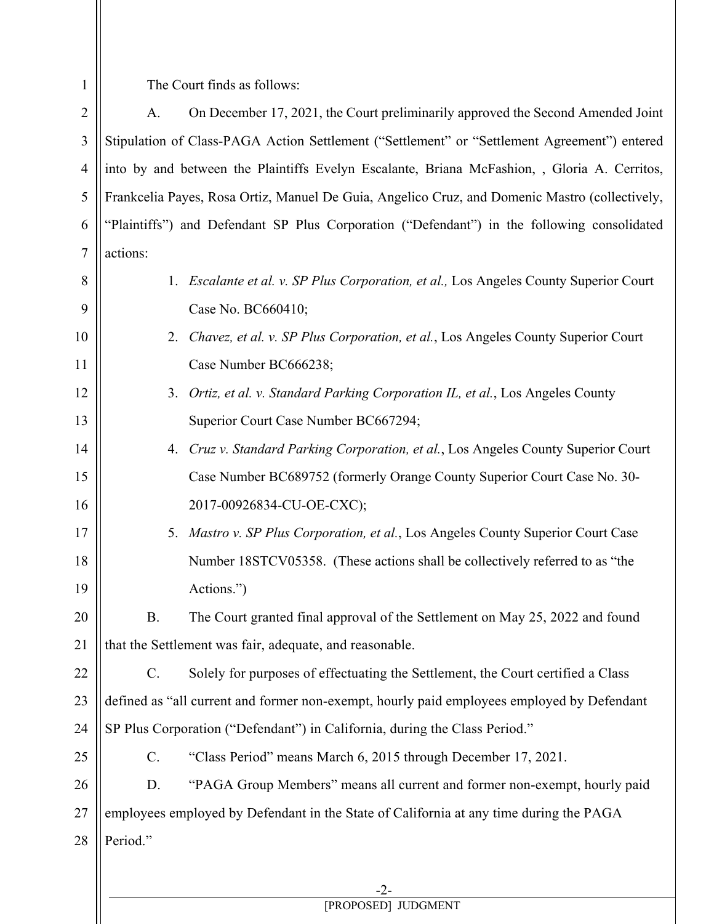The Court finds as follows:

1

2 3 4 5 6 7 A. On December 17, 2021, the Court preliminarily approved the Second Amended Joint Stipulation of Class-PAGA Action Settlement ("Settlement" or "Settlement Agreement") entered into by and between the Plaintiffs Evelyn Escalante, Briana McFashion, , Gloria A. Cerritos, Frankcelia Payes, Rosa Ortiz, Manuel De Guia, Angelico Cruz, and Domenic Mastro (collectively, "Plaintiffs") and Defendant SP Plus Corporation ("Defendant") in the following consolidated actions:

| 8  |                 | 1. Escalante et al. v. SP Plus Corporation, et al., Los Angeles County Superior Court      |
|----|-----------------|--------------------------------------------------------------------------------------------|
| 9  |                 | Case No. BC660410;                                                                         |
| 10 |                 | 2. Chavez, et al. v. SP Plus Corporation, et al., Los Angeles County Superior Court        |
| 11 |                 | Case Number BC666238;                                                                      |
| 12 |                 | 3. Ortiz, et al. v. Standard Parking Corporation IL, et al., Los Angeles County            |
| 13 |                 | Superior Court Case Number BC667294;                                                       |
| 14 |                 | 4. Cruz v. Standard Parking Corporation, et al., Los Angeles County Superior Court         |
| 15 |                 | Case Number BC689752 (formerly Orange County Superior Court Case No. 30-                   |
| 16 |                 | 2017-00926834-CU-OE-CXC);                                                                  |
| 17 |                 | 5. Mastro v. SP Plus Corporation, et al., Los Angeles County Superior Court Case           |
| 18 |                 | Number 18STCV05358. (These actions shall be collectively referred to as "the               |
| 19 |                 | Actions.")                                                                                 |
| 20 | <b>B.</b>       | The Court granted final approval of the Settlement on May 25, 2022 and found               |
| 21 |                 | that the Settlement was fair, adequate, and reasonable.                                    |
| 22 | $\mathbf{C}$ .  | Solely for purposes of effectuating the Settlement, the Court certified a Class            |
| 23 |                 | defined as "all current and former non-exempt, hourly paid employees employed by Defendant |
| 24 |                 | SP Plus Corporation ("Defendant") in California, during the Class Period."                 |
| 25 | $\mathcal{C}$ . | "Class Period" means March 6, 2015 through December 17, 2021.                              |
| 26 | D.              | "PAGA Group Members" means all current and former non-exempt, hourly paid                  |
| 27 |                 | employees employed by Defendant in the State of California at any time during the PAGA     |
| 28 | Period."        |                                                                                            |
|    |                 |                                                                                            |
|    |                 | $-2-$                                                                                      |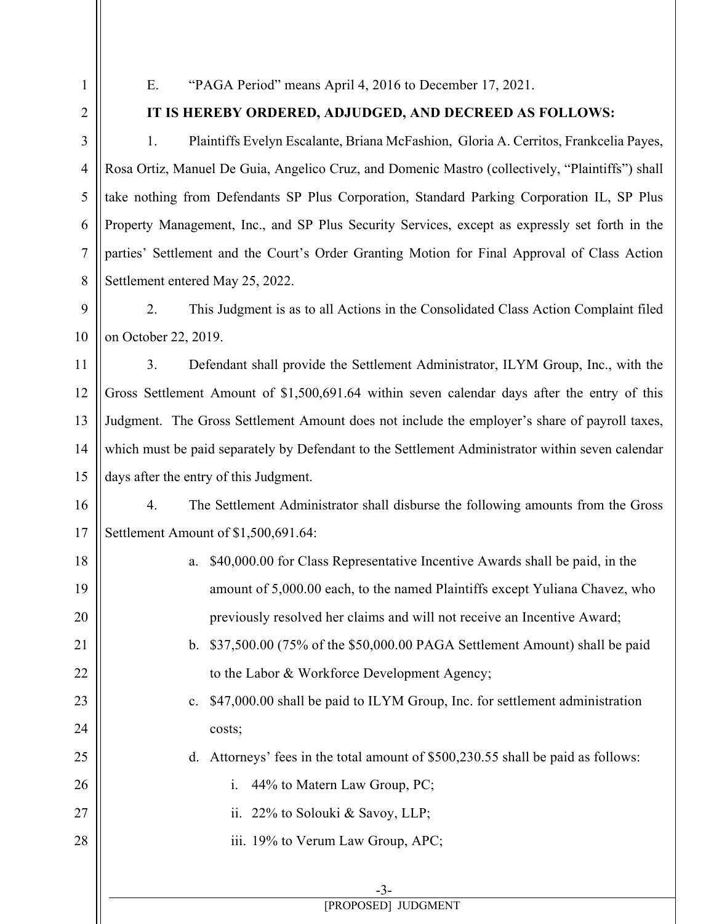1 2

3

4

5

6

7

8

21

22

23

24

25

26

27

28

## E. "PAGA Period" means April 4, 2016 to December 17, 2021.

## **IT IS HEREBY ORDERED, ADJUDGED, AND DECREED AS FOLLOWS:**

1. Plaintiffs Evelyn Escalante, Briana McFashion, Gloria A. Cerritos, Frankcelia Payes, Rosa Ortiz, Manuel De Guia, Angelico Cruz, and Domenic Mastro (collectively, "Plaintiffs") shall take nothing from Defendants SP Plus Corporation, Standard Parking Corporation IL, SP Plus Property Management, Inc., and SP Plus Security Services, except as expressly set forth in the parties' Settlement and the Court's Order Granting Motion for Final Approval of Class Action Settlement entered May 25, 2022.

9 10 2. This Judgment is as to all Actions in the Consolidated Class Action Complaint filed on October 22, 2019.

11 12 13 14 15 3. Defendant shall provide the Settlement Administrator, ILYM Group, Inc., with the Gross Settlement Amount of \$1,500,691.64 within seven calendar days after the entry of this Judgment. The Gross Settlement Amount does not include the employer's share of payroll taxes, which must be paid separately by Defendant to the Settlement Administrator within seven calendar days after the entry of this Judgment.

16 17 4. The Settlement Administrator shall disburse the following amounts from the Gross Settlement Amount of \$1,500,691.64:

- 18 19 20 a. \$40,000.00 for Class Representative Incentive Awards shall be paid, in the amount of 5,000.00 each, to the named Plaintiffs except Yuliana Chavez, who previously resolved her claims and will not receive an Incentive Award;
	- b. \$37,500.00 (75% of the \$50,000.00 PAGA Settlement Amount) shall be paid to the Labor & Workforce Development Agency;
		- c. \$47,000.00 shall be paid to ILYM Group, Inc. for settlement administration costs;
			- d. Attorneys' fees in the total amount of \$500,230.55 shall be paid as follows:
				- i. 44% to Matern Law Group, PC;
				- ii. 22% to Solouki & Savoy, LLP;
			- iii. 19% to Verum Law Group, APC;

-3-

[PROPOSED] JUDGMENT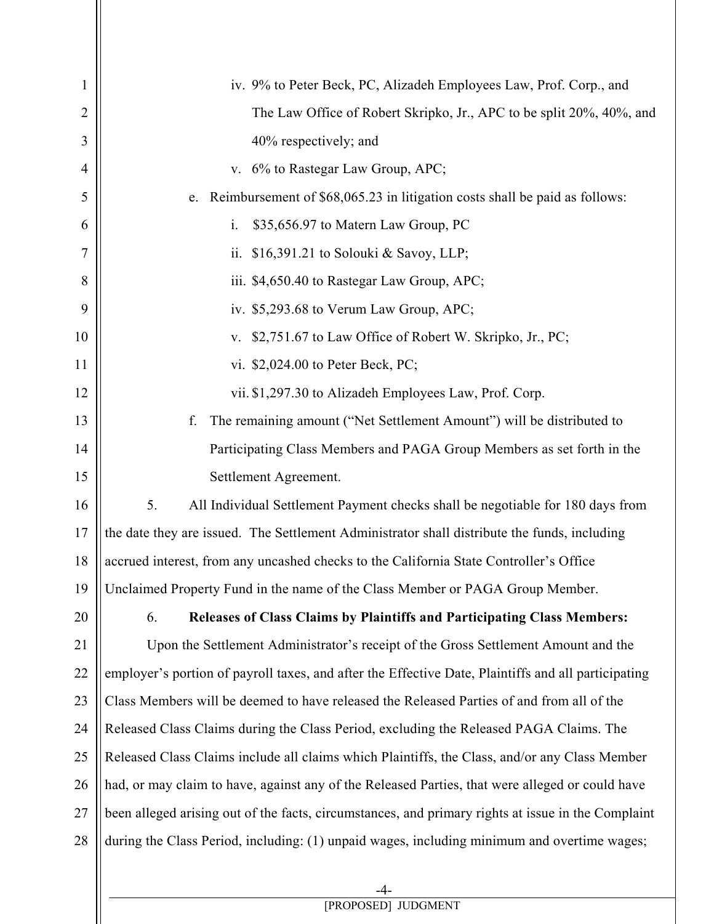| $\mathbf{1}$   | iv. 9% to Peter Beck, PC, Alizadeh Employees Law, Prof. Corp., and                                  |  |
|----------------|-----------------------------------------------------------------------------------------------------|--|
| 2              | The Law Office of Robert Skripko, Jr., APC to be split 20%, 40%, and                                |  |
| 3              | 40% respectively; and                                                                               |  |
| $\overline{4}$ | v. 6% to Rastegar Law Group, APC;                                                                   |  |
| 5              | e. Reimbursement of \$68,065.23 in litigation costs shall be paid as follows:                       |  |
| 6              | i.<br>\$35,656.97 to Matern Law Group, PC                                                           |  |
| 7              | ii.<br>\$16,391.21 to Solouki & Savoy, LLP;                                                         |  |
| 8              | iii. \$4,650.40 to Rastegar Law Group, APC;                                                         |  |
| 9              | iv. \$5,293.68 to Verum Law Group, APC;                                                             |  |
| 10             | \$2,751.67 to Law Office of Robert W. Skripko, Jr., PC;<br>V.                                       |  |
| 11             | vi. \$2,024.00 to Peter Beck, PC;                                                                   |  |
| 12             | vii. \$1,297.30 to Alizadeh Employees Law, Prof. Corp.                                              |  |
| 13             | The remaining amount ("Net Settlement Amount") will be distributed to<br>f.                         |  |
| 14             | Participating Class Members and PAGA Group Members as set forth in the                              |  |
| 15             | Settlement Agreement.                                                                               |  |
| 16             | 5.<br>All Individual Settlement Payment checks shall be negotiable for 180 days from                |  |
| 17             | the date they are issued. The Settlement Administrator shall distribute the funds, including        |  |
| 18             | accrued interest, from any uncashed checks to the California State Controller's Office              |  |
| 19             | Unclaimed Property Fund in the name of the Class Member or PAGA Group Member.                       |  |
| 20             | Releases of Class Claims by Plaintiffs and Participating Class Members:<br>6.                       |  |
| 21             | Upon the Settlement Administrator's receipt of the Gross Settlement Amount and the                  |  |
| 22             | employer's portion of payroll taxes, and after the Effective Date, Plaintiffs and all participating |  |
| 23             | Class Members will be deemed to have released the Released Parties of and from all of the           |  |
| 24             | Released Class Claims during the Class Period, excluding the Released PAGA Claims. The              |  |
| 25             | Released Class Claims include all claims which Plaintiffs, the Class, and/or any Class Member       |  |
| 26             | had, or may claim to have, against any of the Released Parties, that were alleged or could have     |  |
| 27             | been alleged arising out of the facts, circumstances, and primary rights at issue in the Complaint  |  |
| 28             | during the Class Period, including: (1) unpaid wages, including minimum and overtime wages;         |  |
|                |                                                                                                     |  |

-4- [PROPOSED] JUDGMENT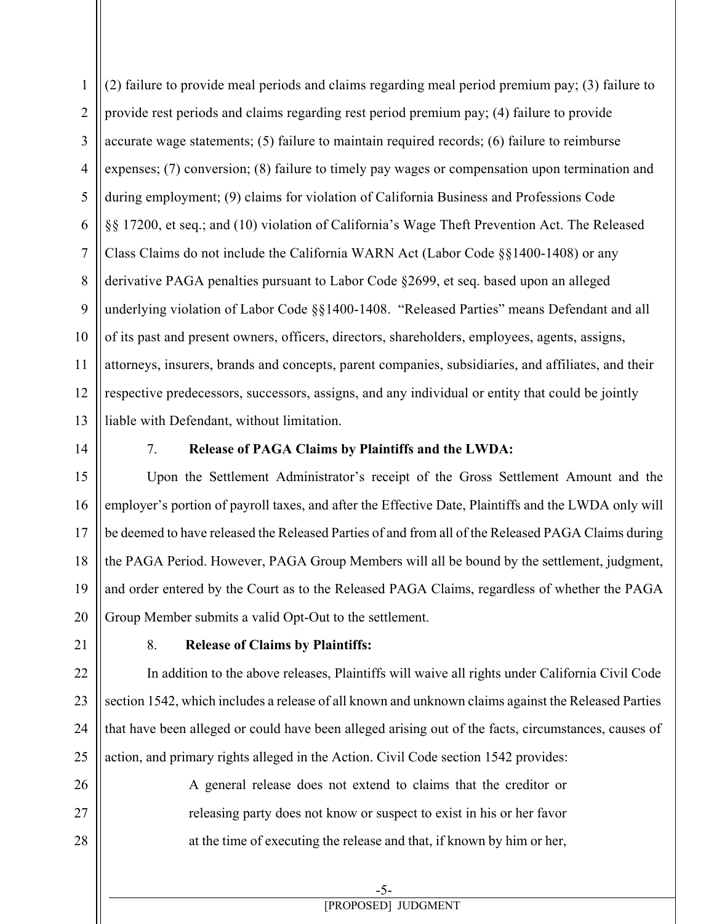1 2 3 4 5 6 7 8 9 10 11 12 13 (2) failure to provide meal periods and claims regarding meal period premium pay; (3) failure to provide rest periods and claims regarding rest period premium pay; (4) failure to provide accurate wage statements; (5) failure to maintain required records; (6) failure to reimburse expenses; (7) conversion; (8) failure to timely pay wages or compensation upon termination and during employment; (9) claims for violation of California Business and Professions Code §§ 17200, et seq.; and (10) violation of California's Wage Theft Prevention Act. The Released Class Claims do not include the California WARN Act (Labor Code §§1400-1408) or any derivative PAGA penalties pursuant to Labor Code §2699, et seq. based upon an alleged underlying violation of Labor Code §§1400-1408. "Released Parties" means Defendant and all of its past and present owners, officers, directors, shareholders, employees, agents, assigns, attorneys, insurers, brands and concepts, parent companies, subsidiaries, and affiliates, and their respective predecessors, successors, assigns, and any individual or entity that could be jointly liable with Defendant, without limitation.

14

## 7. **Release of PAGA Claims by Plaintiffs and the LWDA:**

15 16 17 18 19 20 Upon the Settlement Administrator's receipt of the Gross Settlement Amount and the employer's portion of payroll taxes, and after the Effective Date, Plaintiffs and the LWDA only will be deemed to have released the Released Parties of and from all of the Released PAGA Claims during the PAGA Period. However, PAGA Group Members will all be bound by the settlement, judgment, and order entered by the Court as to the Released PAGA Claims, regardless of whether the PAGA Group Member submits a valid Opt-Out to the settlement.

21

26

27

28

## 8. **Release of Claims by Plaintiffs:**

22 23 24 25 In addition to the above releases, Plaintiffs will waive all rights under California Civil Code section 1542, which includes a release of all known and unknown claims against the Released Parties that have been alleged or could have been alleged arising out of the facts, circumstances, causes of action, and primary rights alleged in the Action. Civil Code section 1542 provides:

> A general release does not extend to claims that the creditor or releasing party does not know or suspect to exist in his or her favor at the time of executing the release and that, if known by him or her,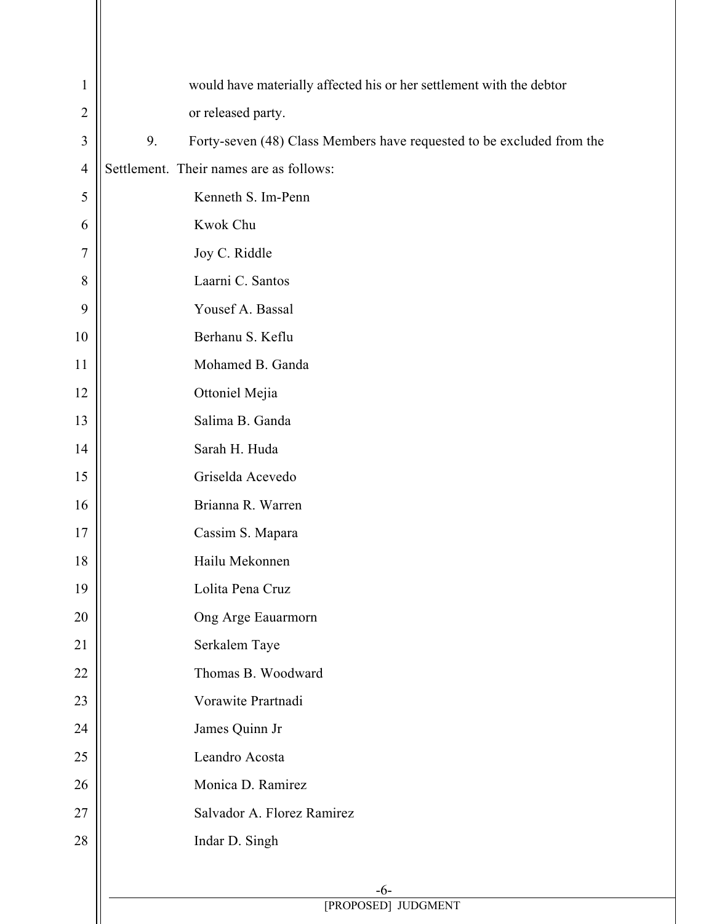| 1              | would have materially affected his or her settlement with the debtor        |  |
|----------------|-----------------------------------------------------------------------------|--|
| $\overline{2}$ | or released party.                                                          |  |
| $\overline{3}$ | Forty-seven (48) Class Members have requested to be excluded from the<br>9. |  |
| $\overline{4}$ | Settlement. Their names are as follows:                                     |  |
| 5              | Kenneth S. Im-Penn                                                          |  |
| 6              | Kwok Chu                                                                    |  |
| $\overline{7}$ | Joy C. Riddle                                                               |  |
| 8              | Laarni C. Santos                                                            |  |
| 9              | Yousef A. Bassal                                                            |  |
| 10             | Berhanu S. Keflu                                                            |  |
| 11             | Mohamed B. Ganda                                                            |  |
| 12             | Ottoniel Mejia                                                              |  |
| 13             | Salima B. Ganda                                                             |  |
| 14             | Sarah H. Huda                                                               |  |
| 15             | Griselda Acevedo                                                            |  |
| 16             | Brianna R. Warren                                                           |  |
| 17             | Cassim S. Mapara                                                            |  |
| 18             | Hailu Mekonnen                                                              |  |
| 19             | Lolita Pena Cruz                                                            |  |
| 20             | Ong Arge Eauarmorn                                                          |  |
| 21             | Serkalem Taye                                                               |  |
| 22             | Thomas B. Woodward                                                          |  |
| 23             | Vorawite Prartnadi                                                          |  |
| 24             | James Quinn Jr                                                              |  |
| 25             | Leandro Acosta                                                              |  |
| 26             | Monica D. Ramirez                                                           |  |
| 27             | Salvador A. Florez Ramirez                                                  |  |
| 28             | Indar D. Singh                                                              |  |
|                |                                                                             |  |
|                | $-6-$<br>[PROPOSED] JUDGMENT                                                |  |
|                |                                                                             |  |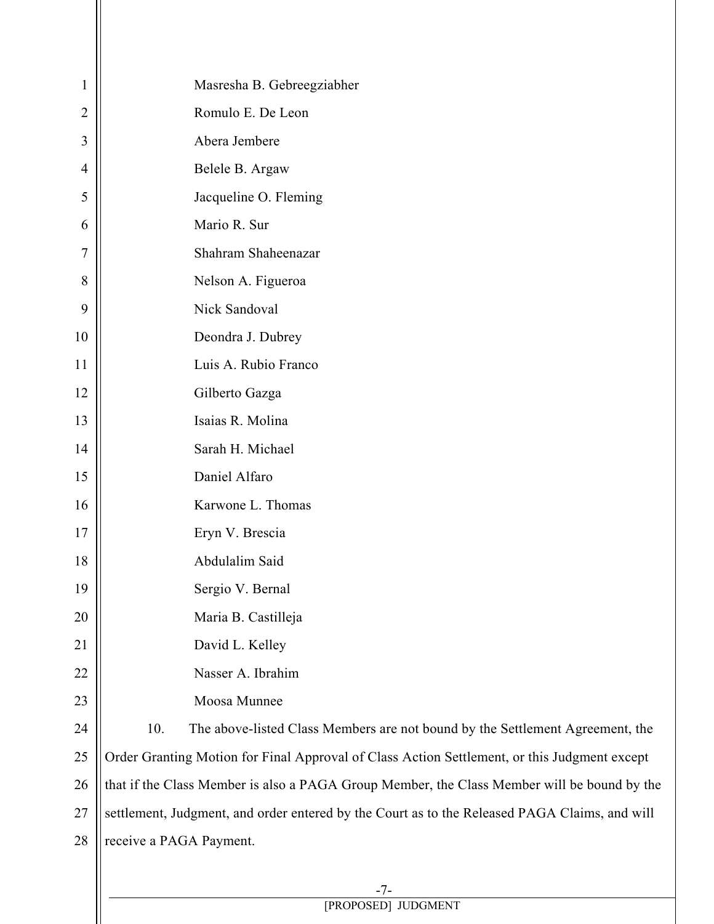| 1              | Masresha B. Gebreegziabher                                                                    |  |
|----------------|-----------------------------------------------------------------------------------------------|--|
| $\overline{2}$ | Romulo E. De Leon                                                                             |  |
| 3              | Abera Jembere                                                                                 |  |
| $\overline{4}$ | Belele B. Argaw                                                                               |  |
| 5              | Jacqueline O. Fleming                                                                         |  |
| 6              | Mario R. Sur                                                                                  |  |
| 7              | Shahram Shaheenazar                                                                           |  |
| 8              | Nelson A. Figueroa                                                                            |  |
| 9              | Nick Sandoval                                                                                 |  |
| 10             | Deondra J. Dubrey                                                                             |  |
| 11             | Luis A. Rubio Franco                                                                          |  |
| 12             | Gilberto Gazga                                                                                |  |
| 13             | Isaias R. Molina                                                                              |  |
| 14             | Sarah H. Michael                                                                              |  |
| 15             | Daniel Alfaro                                                                                 |  |
| 16             | Karwone L. Thomas                                                                             |  |
| 17             | Eryn V. Brescia                                                                               |  |
| 18             | Abdulalim Said                                                                                |  |
| 19             | Sergio V. Bernal                                                                              |  |
| 20             | Maria B. Castilleja                                                                           |  |
| 21             | David L. Kelley                                                                               |  |
| 22             | Nasser A. Ibrahim                                                                             |  |
| 23             | Moosa Munnee                                                                                  |  |
| 24             | 10.<br>The above-listed Class Members are not bound by the Settlement Agreement, the          |  |
| 25             | Order Granting Motion for Final Approval of Class Action Settlement, or this Judgment except  |  |
| 26             | that if the Class Member is also a PAGA Group Member, the Class Member will be bound by the   |  |
| 27             | settlement, Judgment, and order entered by the Court as to the Released PAGA Claims, and will |  |
| 28             | receive a PAGA Payment.                                                                       |  |
|                |                                                                                               |  |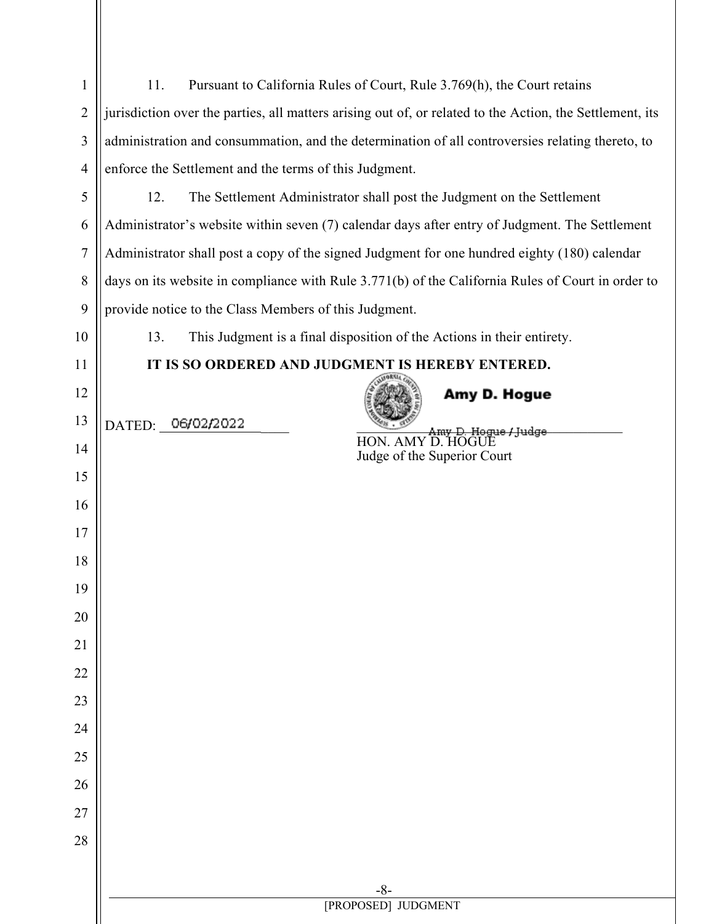| 1              | Pursuant to California Rules of Court, Rule 3.769(h), the Court retains<br>11.                           |  |
|----------------|----------------------------------------------------------------------------------------------------------|--|
| $\sqrt{2}$     | jurisdiction over the parties, all matters arising out of, or related to the Action, the Settlement, its |  |
| $\mathfrak{Z}$ | administration and consummation, and the determination of all controversies relating thereto, to         |  |
| $\overline{4}$ | enforce the Settlement and the terms of this Judgment.                                                   |  |
| 5              | The Settlement Administrator shall post the Judgment on the Settlement<br>12.                            |  |
| 6              | Administrator's website within seven (7) calendar days after entry of Judgment. The Settlement           |  |
| $\tau$         | Administrator shall post a copy of the signed Judgment for one hundred eighty (180) calendar             |  |
| $\,8\,$        | days on its website in compliance with Rule 3.771(b) of the California Rules of Court in order to        |  |
| 9              | provide notice to the Class Members of this Judgment.                                                    |  |
| 10             | This Judgment is a final disposition of the Actions in their entirety.<br>13.                            |  |
| 11             | IT IS SO ORDERED AND JUDGMENT IS HEREBY ENTERED.                                                         |  |
| 12             | Amy D. Hogue                                                                                             |  |
| 13             | DATED: 06/02/2022<br>Amy D. Hogue / Judge<br>HON. AMY D. HOGUE                                           |  |
| 14             | Judge of the Superior Court                                                                              |  |
| 15             |                                                                                                          |  |
| 16             |                                                                                                          |  |
| 17             |                                                                                                          |  |
| 18             |                                                                                                          |  |
| 19             |                                                                                                          |  |
| 20             |                                                                                                          |  |
| 21             |                                                                                                          |  |
| 22             |                                                                                                          |  |
| 23             |                                                                                                          |  |
| 24             |                                                                                                          |  |
| 25             |                                                                                                          |  |
| 26             |                                                                                                          |  |
| 27             |                                                                                                          |  |
| 28             |                                                                                                          |  |
|                | $-8-$                                                                                                    |  |
|                | [PROPOSED] JUDGMENT                                                                                      |  |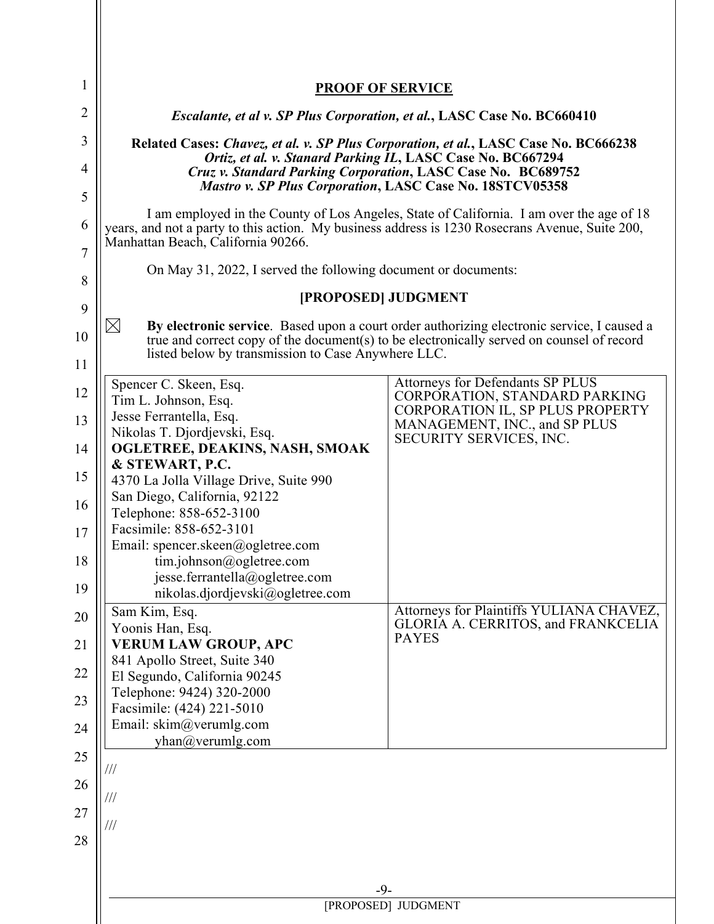| 1              |                                                                                                                                                                                                                                   |                                                                                                    |
|----------------|-----------------------------------------------------------------------------------------------------------------------------------------------------------------------------------------------------------------------------------|----------------------------------------------------------------------------------------------------|
| $\overline{2}$ | <b>PROOF OF SERVICE</b>                                                                                                                                                                                                           |                                                                                                    |
| 3              | <i>Escalante, et al v. SP Plus Corporation, et al., LASC Case No. BC660410</i>                                                                                                                                                    |                                                                                                    |
| $\overline{4}$ | Related Cases: Chavez, et al. v. SP Plus Corporation, et al., LASC Case No. BC666238<br>Ortiz, et al. v. Stanard Parking IL, LASC Case No. BC667294<br>Cruz v. Standard Parking Corporation, LASC Case No. BC689752               |                                                                                                    |
| 5              | <b>Mastro v. SP Plus Corporation, LASC Case No. 18STCV05358</b>                                                                                                                                                                   |                                                                                                    |
| 6<br>7         | I am employed in the County of Los Angeles, State of California. I am over the age of 18<br>years, and not a party to this action. My business address is 1230 Rosecrans Avenue, Suite 200,<br>Manhattan Beach, California 90266. |                                                                                                    |
|                | On May 31, 2022, I served the following document or documents:                                                                                                                                                                    |                                                                                                    |
| 8              | [PROPOSED] JUDGMENT                                                                                                                                                                                                               |                                                                                                    |
| 9              | $\rtimes$                                                                                                                                                                                                                         | By electronic service. Based upon a court order authorizing electronic service, I caused a         |
| 10<br>11       | listed below by transmission to Case Anywhere LLC.                                                                                                                                                                                | true and correct copy of the document(s) to be electronically served on counsel of record          |
| 12             | Spencer C. Skeen, Esq.                                                                                                                                                                                                            | Attorneys for Defendants SP PLUS                                                                   |
| 13             | Tim L. Johnson, Esq.<br>Jesse Ferrantella, Esq.                                                                                                                                                                                   | CORPORATION, STANDARD PARKING<br>CORPORATION IL, SP PLUS PROPERTY<br>MANAGEMENT, INC., and SP PLUS |
| 14             | Nikolas T. Djordjevski, Esq.<br>OGLETREE, DEAKINS, NASH, SMOAK                                                                                                                                                                    | SECURITY SERVICES, INC.                                                                            |
| 15             | & STEWART, P.C.<br>4370 La Jolla Village Drive, Suite 990                                                                                                                                                                         |                                                                                                    |
| 16             | San Diego, California, 92122                                                                                                                                                                                                      |                                                                                                    |
| 17             | Telephone: 858-652-3100<br>Facsimile: 858-652-3101                                                                                                                                                                                |                                                                                                    |
| 18             | Email: spencer.skeen@ogletree.com                                                                                                                                                                                                 |                                                                                                    |
|                | tim.johnson@ogletree.com<br>jesse.ferrantella@ogletree.com                                                                                                                                                                        |                                                                                                    |
| 19             | nikolas.djordjevski@ogletree.com<br>Sam Kim, Esq.                                                                                                                                                                                 | Attorneys for Plaintiffs YULIANA CHAVEZ,                                                           |
| 20             | Yoonis Han, Esq.                                                                                                                                                                                                                  | GLORIA A. CERRITOS, and FRANKCELIA                                                                 |
| 21             | <b>VERUM LAW GROUP, APC</b><br>841 Apollo Street, Suite 340                                                                                                                                                                       | <b>PAYES</b>                                                                                       |
| 22             | El Segundo, California 90245                                                                                                                                                                                                      |                                                                                                    |
| 23             | Telephone: 9424) 320-2000<br>Facsimile: (424) 221-5010                                                                                                                                                                            |                                                                                                    |
| 24             | Email: skim@verumlg.com                                                                                                                                                                                                           |                                                                                                    |
| 25             | yhan@verumlg.com                                                                                                                                                                                                                  |                                                                                                    |
| 26             | ///                                                                                                                                                                                                                               |                                                                                                    |
| 27             | ///                                                                                                                                                                                                                               |                                                                                                    |
| 28             | ///                                                                                                                                                                                                                               |                                                                                                    |
|                |                                                                                                                                                                                                                                   |                                                                                                    |
|                | $-9-$                                                                                                                                                                                                                             |                                                                                                    |
|                | [PROPOSED] JUDGMENT                                                                                                                                                                                                               |                                                                                                    |